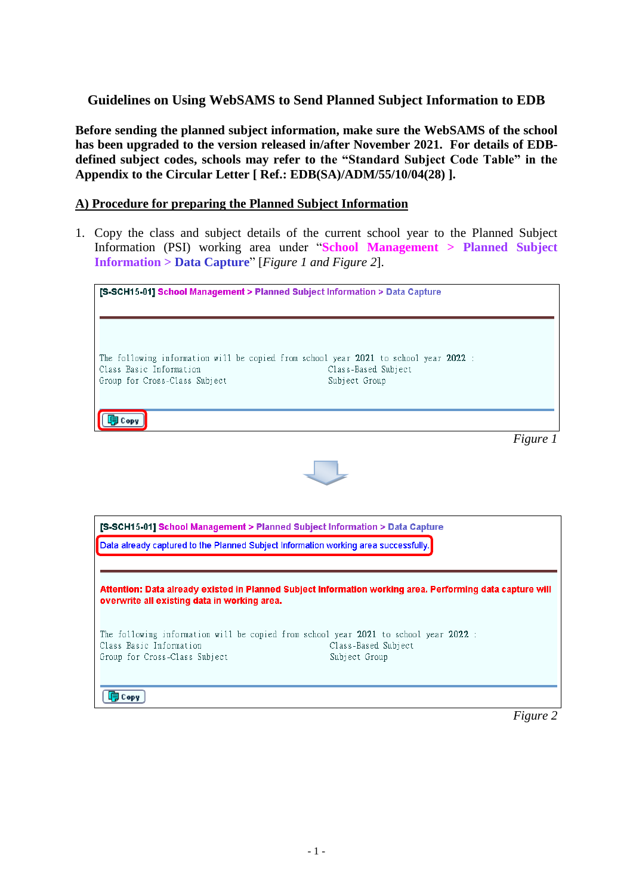# **Guidelines on Using WebSAMS to Send Planned Subject Information to EDB**

**Before sending the planned subject information, make sure the WebSAMS of the school has been upgraded to the version released in/after November 2021. For details of EDBdefined subject codes, schools may refer to the "Standard Subject Code Table" in the Appendix to the Circular Letter [ Ref.: EDB(SA)/ADM/55/10/04(28) ].**

### **A) Procedure for preparing the Planned Subject Information**

1. Copy the class and subject details of the current school year to the Planned Subject Information (PSI) working area under "**School Management > Planned Subject Information > Data Capture**" [*Figure 1 and Figure 2*].

| [S-SCH15-01] School Management > Planned Subject Information > Data Capture         |                                                                                                                              |
|-------------------------------------------------------------------------------------|------------------------------------------------------------------------------------------------------------------------------|
| Class Basic Information<br>Group for Cross-Class Subject                            | The following information will be copied from school year 2021 to school year 2022 :<br>Class-Based Subject<br>Subject Group |
| ∃ Copy                                                                              | Figure 1                                                                                                                     |
| [S-SCH15-01] School Management > Planned Subject Information > Data Capture         |                                                                                                                              |
| Data already captured to the Planned Subject Information working area successfully. |                                                                                                                              |
| overwrite all existing data in working area.                                        | Attention: Data already existed in Planned Subject Information working area. Performing data capture will                    |
| Class Basic Information<br>Group for Cross-Class Subject                            | The following information will be copied from school year 2021 to school year 2022 :<br>Class-Based Subject<br>Subject Group |
| <b>同 Copy</b>                                                                       |                                                                                                                              |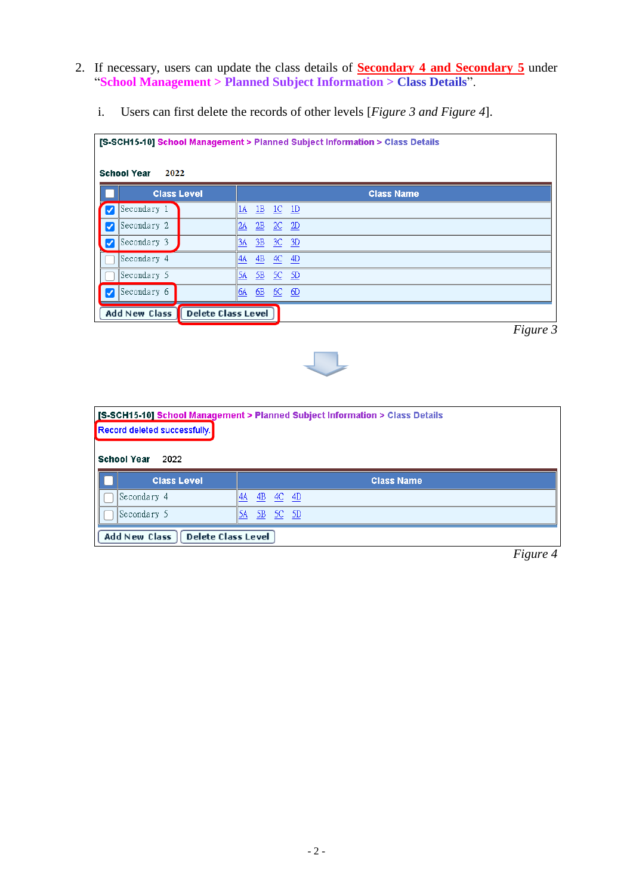- 2. If necessary, users can update the class details of **Secondary 4 and Secondary 5** under "**School Management > Planned Subject Information > Class Details**".
	- i. Users can first delete the records of other levels [*Figure 3 and Figure 4*].

| <b>School Year</b><br>2022 |                           | [S-SCH15-10] School Management > Planned Subject Information > Class Details |
|----------------------------|---------------------------|------------------------------------------------------------------------------|
|                            | <b>Class Level</b>        | <b>Class Name</b>                                                            |
| Secondary 1                | 1A<br>1B                  | $1C$ $1D$                                                                    |
| Secondary 2<br>V           | 2A                        | $\underline{2B}$ $\underline{2C}$ $\underline{2D}$                           |
| Secondary 3                | 3A                        | 3B 3C 3D                                                                     |
| Secondary 4                | 4A                        | 4B 4C 4D                                                                     |
| Secondary 5                | 5A<br>-5B                 | SC SD                                                                        |
| Secondary 6                | 6A                        | 6B 6C 6D                                                                     |
| <b>Add New Class</b>       | <b>Delete Class Level</b> |                                                                              |

*Figure 3*



|                                                   | [S-SCH15-10] School Management > Planned Subject Information > Class Details |
|---------------------------------------------------|------------------------------------------------------------------------------|
| Record deleted successfully.                      |                                                                              |
| <b>School Year</b><br>2022                        |                                                                              |
| <b>Class Level</b>                                | <b>Class Name</b>                                                            |
| Secondary 4                                       | 4B<br>$4C$ $4D$<br>14A                                                       |
| Secondary 5                                       | 5A<br>$SC$ $SD$<br>-5B                                                       |
| <b>Delete Class Level</b><br><b>Add New Class</b> |                                                                              |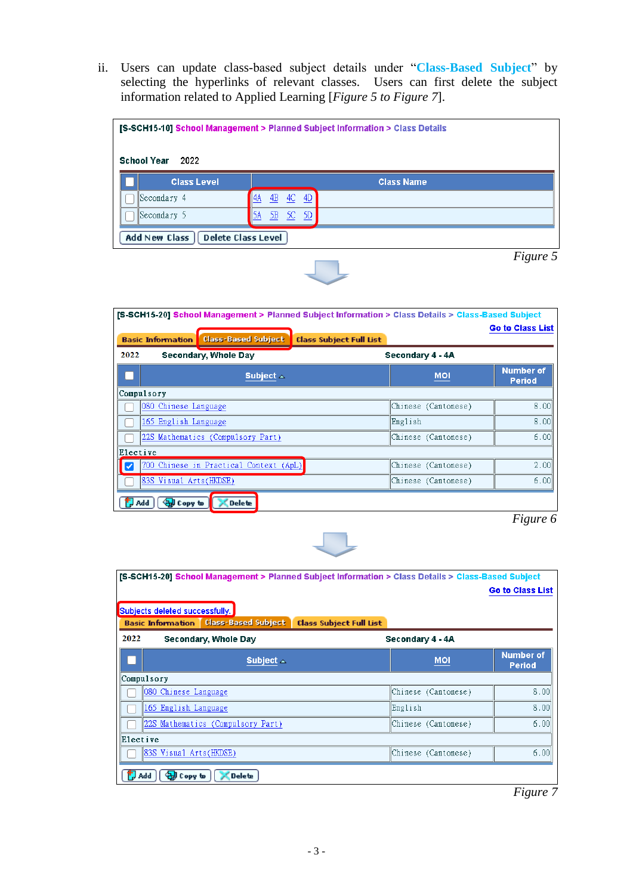ii. Users can update class-based subject details under "**Class-Based Subject**" by selecting the hyperlinks of relevant classes. Users can first delete the subject information related to Applied Learning [*Figure 5 to Figure 7*].

| [S-SCH15-10] School Management > Planned Subject Information > Class Details<br><b>School Year</b><br>2022 |                            |                   |  |  |
|------------------------------------------------------------------------------------------------------------|----------------------------|-------------------|--|--|
| <b>Class Level</b>                                                                                         |                            | <b>Class Name</b> |  |  |
| Secondary 4                                                                                                | - 4D<br>4C<br>4B<br>11 4 A |                   |  |  |
| Secondary 5                                                                                                | - 5D<br>  5A<br>5C<br>5B   |                   |  |  |
| Delete Class Level<br>Add New Class                                                                        |                            |                   |  |  |

 *Figure 5*

|            | [S-SCH15-20] School Management > Planned Subject Information > Class Details > Class-Based Subject |                                |                     |                                   |
|------------|----------------------------------------------------------------------------------------------------|--------------------------------|---------------------|-----------------------------------|
|            |                                                                                                    |                                |                     | <b>Go to Class List</b>           |
|            | <b>Class-Based Subject</b><br><b>Basic Information</b>                                             | <b>Class Subject Full List</b> |                     |                                   |
| 2022       | Secondary, Whole Day                                                                               |                                | Secondary 4 - 4A    |                                   |
|            | Subject $\triangle$                                                                                |                                | <b>MOI</b>          | <b>Number of</b><br><b>Period</b> |
| Compulsory |                                                                                                    |                                |                     |                                   |
|            | 080 Chinese Language                                                                               |                                | Chinese (Cantonese) | 8.00                              |
|            | 165 English Language                                                                               |                                | English             | 8.00                              |
|            | 22S Mathematics (Compulsory Part)                                                                  |                                | Chinese (Cantonese) | 6.00                              |
| Elective   |                                                                                                    |                                |                     |                                   |
| ✓          | 700 Chinese in Practical Context (ApL)                                                             |                                | Chinese (Cantonese) | 2.00                              |
|            | 83S Visual Arts(HKDSE)                                                                             |                                | Chinese (Cantonese) | 6.00                              |
| Add        | <b>Delete</b><br><b>ЭД Сору to</b>                                                                 |                                |                     |                                   |

*Figure 6*



|            | [S-SCH15-20] School Management > Planned Subject Information > Class Details > Class-Based Subject<br>Subjects deleted successfully.<br><b>Class-Based Subject</b><br><b>Basic Information</b> | <b>Class Subject Full List</b> |                      | <b>Go to Class List</b>           |
|------------|------------------------------------------------------------------------------------------------------------------------------------------------------------------------------------------------|--------------------------------|----------------------|-----------------------------------|
| 2022       | Secondary, Whole Day                                                                                                                                                                           |                                | Secondary 4 - 4A     |                                   |
|            | Subject $\triangle$                                                                                                                                                                            |                                | <b>MOI</b>           | <b>Number of</b><br><b>Period</b> |
| Compulsory |                                                                                                                                                                                                |                                |                      |                                   |
|            | 080 Chinese Language                                                                                                                                                                           |                                | Chinese (Cantonese)  | 8.00                              |
|            | 165 English Language                                                                                                                                                                           |                                | English              | 8.00                              |
|            | 22S Mathematics (Compulsory Part)                                                                                                                                                              |                                | Chinese (Cantonese)  | 6.00                              |
| Elective   |                                                                                                                                                                                                |                                |                      |                                   |
|            | 83S Visual Arts(HKDSE)                                                                                                                                                                         |                                | (Chinese (Cantonese) | 6.00                              |
| Add        | <b>Delete</b><br>Copy to                                                                                                                                                                       |                                |                      |                                   |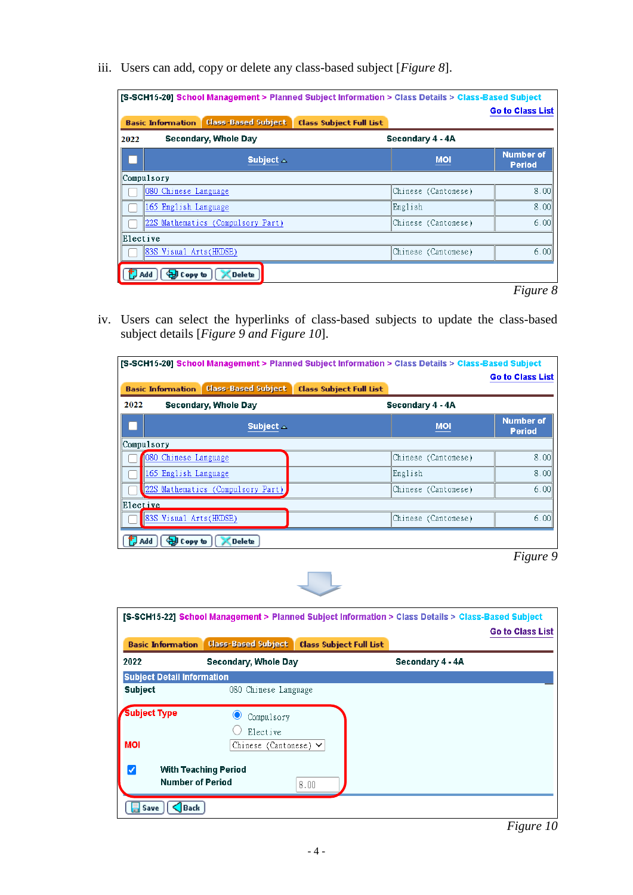iii. Users can add, copy or delete any class-based subject [*Figure 8*].

|            | <b>Class-Based Subject</b><br><b>Basic Information</b> | <b>Class Subject Full List</b> |                                   |
|------------|--------------------------------------------------------|--------------------------------|-----------------------------------|
| 2022       | Secondary, Whole Day                                   | Secondary 4 - 4A               |                                   |
|            | Subject $\triangle$                                    | <b>MOI</b>                     | <b>Number of</b><br><b>Period</b> |
| Compulsory |                                                        |                                |                                   |
|            | 080 Chinese Language                                   | Chinese (Cantonese)            | 8.00                              |
|            | 165 English Language                                   | English                        | 8.00                              |
|            | 22S Mathematics (Compulsory Part)                      | Chinese (Cantonese)            | 6.00                              |
| Elective   |                                                        |                                |                                   |
|            | 83S Visual Arts(HKDSE)                                 | Chinese (Cantonese)            | 6.00                              |
| Add        | <b>Delete</b><br>ਦੇ Copy to                            |                                |                                   |

iv. Users can select the hyperlinks of class-based subjects to update the class-based subject details [*Figure 9 and Figure 10*].

|            | <b>IS-SCH15-20] School Management &gt; Planned Subject Information &gt; Class Details &gt; Class-Based Subject</b> |                                |                     |                                   |
|------------|--------------------------------------------------------------------------------------------------------------------|--------------------------------|---------------------|-----------------------------------|
|            |                                                                                                                    |                                |                     | <b>Go to Class List</b>           |
|            | <b>Class-Based Subject</b><br><b>Basic Information</b>                                                             | <b>Class Subject Full List</b> |                     |                                   |
| 2022       | Secondary, Whole Day                                                                                               |                                | Secondary 4 - 4A    |                                   |
|            | Subject $\triangle$                                                                                                |                                | <b>MOI</b>          | <b>Number of</b><br><b>Period</b> |
| Compulsory |                                                                                                                    |                                |                     |                                   |
|            | 080 Chinese Language                                                                                               |                                | Chinese (Cantonese) | 8.00                              |
|            | 165 English Language                                                                                               |                                | English             | 8.00                              |
|            | 22S Mathematics (Compulsory Part)                                                                                  |                                | Chinese (Cantonese) | 6.00                              |
| Elective   |                                                                                                                    |                                |                     |                                   |
|            | 83S Visual Arts(HKDSE)                                                                                             |                                | Chinese (Cantonese) | 6.00                              |
| Add        | <b>Delete</b><br>સની Copy to                                                                                       |                                |                     |                                   |



|                                   | [S-SCH15-22] School Management > Planned Subject Information > Class Details > Class-Based Subject |                                |                  |                         |
|-----------------------------------|----------------------------------------------------------------------------------------------------|--------------------------------|------------------|-------------------------|
|                                   |                                                                                                    |                                |                  | <b>Go to Class List</b> |
| <b>Basic Information</b>          | <b>Class-Based Subject</b>                                                                         | <b>Class Subject Full List</b> |                  |                         |
| 2022                              | Secondary, Whole Day                                                                               |                                | Secondary 4 - 4A |                         |
| <b>Subject Detail Information</b> |                                                                                                    |                                |                  |                         |
| <b>Subject</b>                    | 080 Chinese Language                                                                               |                                |                  |                         |
| <b>Subject Type</b>               | Compulsory<br>Elective                                                                             |                                |                  |                         |
| <b>MOI</b>                        | Chinese (Cantonese) $\vee$                                                                         |                                |                  |                         |
|                                   | <b>With Teaching Period</b><br><b>Number of Period</b>                                             | 8.00                           |                  |                         |
| Back<br>Save                      |                                                                                                    |                                |                  |                         |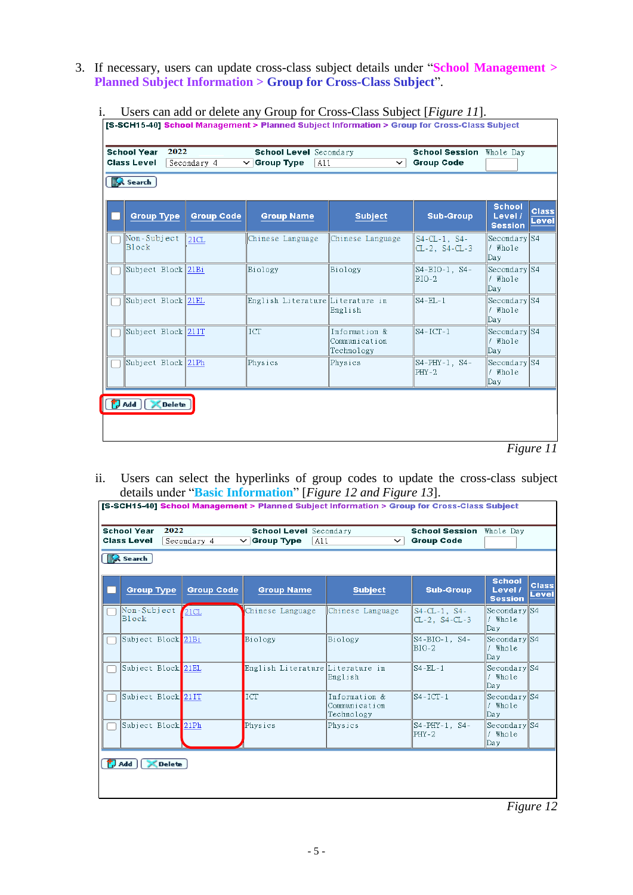3. If necessary, users can update cross-class subject details under "**School Management > Planned Subject Information > Group for Cross-Class Subject**".

| <b>School Year</b><br><b>Class Level</b><br><b>图 Search</b> | 2022          | Secondary 4       | <b>School Level</b> Secondary<br>$\vee$ Group Type<br>A11 | $\check{ }$                                  | <b>School Session</b><br><b>Group Code</b>   | Whole Day                                  |                       |
|-------------------------------------------------------------|---------------|-------------------|-----------------------------------------------------------|----------------------------------------------|----------------------------------------------|--------------------------------------------|-----------------------|
| <b>Group Type</b>                                           |               | <b>Group Code</b> | <b>Group Name</b>                                         | <b>Subject</b>                               | <b>Sub-Group</b>                             | <b>School</b><br>Level /<br><b>Session</b> | <b>Class</b><br>Level |
| Non-Subject<br>Block                                        |               | 21CL              | Chinese Language                                          | Chinese Language                             | $S4 - CL - 1$ , $S4 -$<br>$CL-2$ , $S4-CL-3$ | Secondary S4<br>/ Whole<br>Day             |                       |
| Subject Block 21Bi                                          |               |                   | Biology                                                   | Biology                                      | S4-BIO-1, S4-<br>$BIO-2$                     | Secondary S4<br>$/$ Whole<br>Day           |                       |
| Subject Block 21EL                                          |               |                   | English Literature Literature in                          | English                                      | $S4 - EL - 1$                                | Secondary S4<br>/ Whole<br>Day             |                       |
| Subject Block 21IT                                          |               |                   | ICT                                                       | Information &<br>Communication<br>Technology | $S4-ICT-1$                                   | Secondary S4<br>$/$ Whole<br>Day           |                       |
| Subject Block 21Ph                                          |               |                   | Physics                                                   | Physics                                      | S4-PHY-1, S4-<br>$PHY-2$                     | Secondary S4<br>/ Whole<br>Day             |                       |
| ∃ Add ∫                                                     | <b>Delete</b> |                   |                                                           |                                              |                                              |                                            |                       |

i. Users can add or delete any Group for Cross-Class Subject [*Figure 11*].

- *Figure 11*
- ii. Users can select the hyperlinks of group codes to update the cross-class subject details under "**Basic Information**" [*Figure 12 and Figure 13*].  $\mathbf{r}$

| <b>School Year</b><br><b>Class Level</b><br><b>图 Search</b> | 2022 | Secondary 4       | <b>School Level</b> Secondary<br>$\vee$ Group Type<br>A11 | $\check{ }$                                  | <b>School Session</b> Whole Day<br><b>Group Code</b> |                                            |                       |
|-------------------------------------------------------------|------|-------------------|-----------------------------------------------------------|----------------------------------------------|------------------------------------------------------|--------------------------------------------|-----------------------|
| <b>Group Type</b>                                           |      | <b>Group Code</b> | <b>Group Name</b>                                         | <b>Subject</b>                               | <b>Sub-Group</b>                                     | <b>School</b><br>Level /<br><b>Session</b> | <b>Class</b><br>Level |
| Non-Subject<br>Block                                        |      | 21CL              | Chinese Language                                          | Chinese Language                             | $S4 - CL - 1$ , $S4 -$<br>$CL-2$ , $S4-CL-3$         | Secondary S4<br>/ Whole<br>Day             |                       |
| Subject Block 21Bi                                          |      |                   | Biology                                                   | Biology                                      | S4-BIO-1, S4-<br>BIO-2                               | Secondary S4<br>/ Whole<br>Day             |                       |
| Subject Block 21EL                                          |      |                   | English Literature Literature in                          | English                                      | $S4 - EL - 1$                                        | Secondary S4<br>/ Whole<br>Day             |                       |
| Subject Block 21IT                                          |      |                   | ICT                                                       | Information &<br>Communication<br>Technology | $S4-ICT-1$                                           | Secondary S4<br>/ Whole<br>Day             |                       |
| Subject Block 21Ph                                          |      |                   | Physics                                                   | Physics                                      | S4-PHY-1, S4-<br>$PHY-2$                             | Secondary S4<br>/ Whole<br> Day            |                       |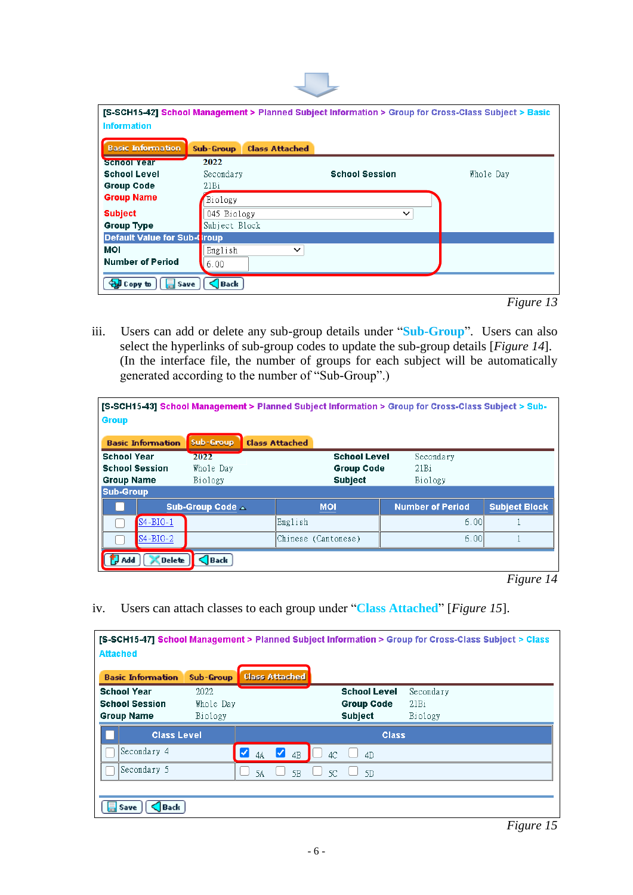| <b>Information</b>                 |                  |                       |                       | [S-SCH15-42] School Management > Planned Subject Information > Group for Cross-Class Subject > Basic |
|------------------------------------|------------------|-----------------------|-----------------------|------------------------------------------------------------------------------------------------------|
| <b>Basic Information</b>           | Sub-Group        | <b>Class Attached</b> |                       |                                                                                                      |
| <b>School Year</b>                 | 2022             |                       |                       |                                                                                                      |
| <b>School Level</b>                | Secondary        |                       | <b>School Session</b> | Whole Day                                                                                            |
| <b>Group Code</b>                  | 21B <sub>i</sub> |                       |                       |                                                                                                      |
| <b>Group Name</b>                  | Biology          |                       |                       |                                                                                                      |
| <b>Subject</b>                     | 045 Biology      |                       | $\checkmark$          |                                                                                                      |
| <b>Group Type</b>                  | Subject Block    |                       |                       |                                                                                                      |
| <b>Default Value for Sub-Group</b> |                  |                       |                       |                                                                                                      |
| <b>MOI</b>                         | English          | $\check{ }$           |                       |                                                                                                      |
| <b>Number of Period</b>            | 6.00             |                       |                       |                                                                                                      |
| Gagl Copy to<br><b>Save</b>        | Back             |                       |                       |                                                                                                      |

*Figure 13*

iii. Users can add or delete any sub-group details under "**Sub-Group**". Users can also select the hyperlinks of sub-group codes to update the sub-group details [*Figure 14*]. (In the interface file, the number of groups for each subject will be automatically generated according to the number of "Sub-Group".)

| <b>Group</b>                                                     |                          |                              |                       |                     |                                          | [S-SCH15-43] School Management > Planned Subject Information > Group for Cross-Class Subject > Sub- |                      |
|------------------------------------------------------------------|--------------------------|------------------------------|-----------------------|---------------------|------------------------------------------|-----------------------------------------------------------------------------------------------------|----------------------|
|                                                                  | <b>Basic Information</b> | Sub-Group                    | <b>Class Attached</b> |                     |                                          |                                                                                                     |                      |
| <b>School Year</b><br><b>School Session</b><br><b>Group Name</b> |                          | 2022<br>Whole Day<br>Biology |                       | <b>Subject</b>      | <b>School Level</b><br><b>Group Code</b> | Secondary<br>21Bi<br>Biology                                                                        |                      |
| <b>Sub-Group</b>                                                 |                          |                              |                       |                     |                                          |                                                                                                     |                      |
|                                                                  |                          | Sub-Group Code A             |                       | <b>MOI</b>          |                                          | <b>Number of Period</b>                                                                             | <b>Subject Block</b> |
|                                                                  | S4-BIO-1                 |                              |                       | English             |                                          | 6.00                                                                                                |                      |
|                                                                  | $S4-BIO-2$               |                              |                       | Chinese (Cantonese) |                                          | 6.00                                                                                                |                      |
| Add                                                              | <b>Delete</b>            | $\bigcap$ Back               |                       |                     |                                          |                                                                                                     |                      |

 *Figure 14*

iv. Users can attach classes to each group under "**Class Attached**" [*Figure 15*].

|                          |           |         |                       |    |                     | [S-SCH15-47] School Management > Planned Subject Information > Group for Cross-Class Subject > Class |
|--------------------------|-----------|---------|-----------------------|----|---------------------|------------------------------------------------------------------------------------------------------|
| <b>Attached</b>          |           |         |                       |    |                     |                                                                                                      |
| <b>Basic Information</b> | Sub-Group |         | <b>Class Attached</b> |    |                     |                                                                                                      |
| <b>School Year</b>       | 2022      |         |                       |    | <b>School Level</b> | Secondary                                                                                            |
| <b>School Session</b>    | Whole Day |         |                       |    | <b>Group Code</b>   | 21Bi                                                                                                 |
| <b>Group Name</b>        | Biology   |         |                       |    | <b>Subject</b>      | Biology                                                                                              |
| <b>Class Level</b>       |           |         |                       |    | <b>Class</b>        |                                                                                                      |
| Secondary 4              |           | ☑<br>4A | ⋁<br>4B               | 4C | 4D                  |                                                                                                      |
| Secondary 5              |           | 5A      | 5 <sub>B</sub>        | 5C | 5D                  |                                                                                                      |
|                          |           |         |                       |    |                     |                                                                                                      |
| <b>Back</b><br>Save      |           |         |                       |    |                     |                                                                                                      |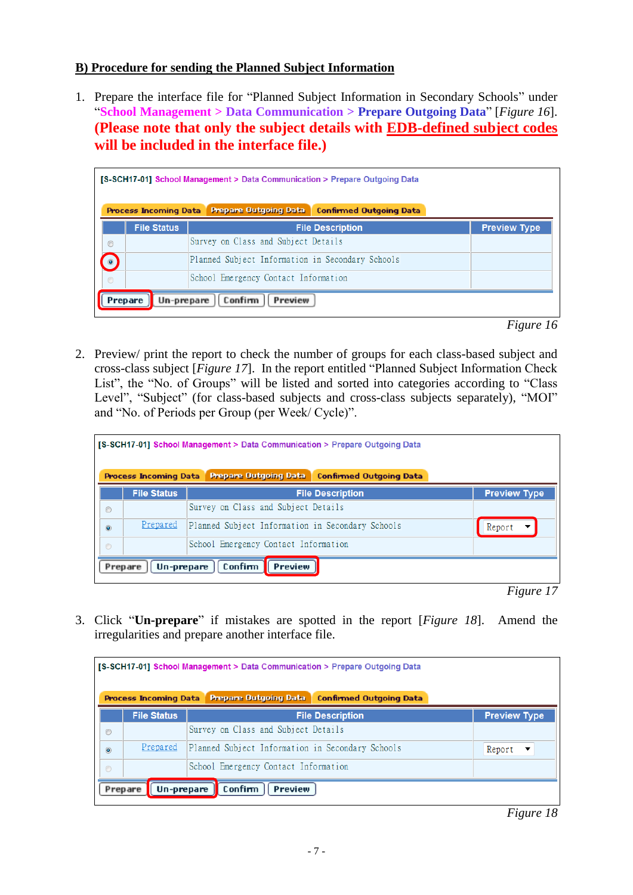## **B) Procedure for sending the Planned Subject Information**

1. Prepare the interface file for "Planned Subject Information in Secondary Schools" under "**School Management > Data Communication > Prepare Outgoing Data**" [*Figure 16*]. **(Please note that only the subject details with EDB-defined subject codes will be included in the interface file.)**

|                | <b>Process Incoming Data</b> | <b>Prepare Outgoing Data</b>                     | <b>Confirmed Outgoing Data</b> |                     |
|----------------|------------------------------|--------------------------------------------------|--------------------------------|---------------------|
|                | <b>File Status</b>           |                                                  | <b>File Description</b>        | <b>Preview Type</b> |
| $\odot$        |                              | Survey on Class and Subject Details              |                                |                     |
| $\circledcirc$ |                              | Planned Subject Information in Secondary Schools |                                |                     |
| $\circ$        |                              | School Emergency Contact Information             |                                |                     |

*Figure 16*

2. Preview/ print the report to check the number of groups for each class-based subject and cross-class subject [*Figure 17*]. In the report entitled "Planned Subject Information Check List", the "No. of Groups" will be listed and sorted into categories according to "Class Level", "Subject" (for class-based subjects and cross-class subjects separately), "MOI" and "No. of Periods per Group (per Week/ Cycle)".

|                | <b>Process Incoming Data</b> | <b>Prepare Outgoing Data</b>                     | <b>Confirmed Outgoing Data</b> |                                    |
|----------------|------------------------------|--------------------------------------------------|--------------------------------|------------------------------------|
|                | <b>File Status</b>           |                                                  | <b>File Description</b>        | <b>Preview Type</b>                |
| $\circledcirc$ |                              | Survey on Class and Subject Details              |                                |                                    |
| $\circledcirc$ | Prepared                     | Planned Subject Information in Secondary Schools |                                | Report<br>$\overline{\phantom{a}}$ |
| $\circ$        |                              | School Emergency Contact Information             |                                |                                    |

*Figure 17*

3. Click "**Un-prepare**" if mistakes are spotted in the report [*Figure 18*]. Amend the irregularities and prepare another interface file.

|                | <b>Process Incoming Data</b> | <b>Prepare Outgoing Data</b><br><b>Confirmed Outgoing Data</b> |                     |
|----------------|------------------------------|----------------------------------------------------------------|---------------------|
|                | <b>File Status</b>           | <b>File Description</b>                                        | <b>Preview Type</b> |
| $\circledcirc$ |                              | Survey on Class and Subject Details                            |                     |
| $\circledcirc$ | Prepared                     | Planned Subject Information in Secondary Schools               | Report<br>▼         |
| $\circ$        |                              | School Emergency Contact Information                           |                     |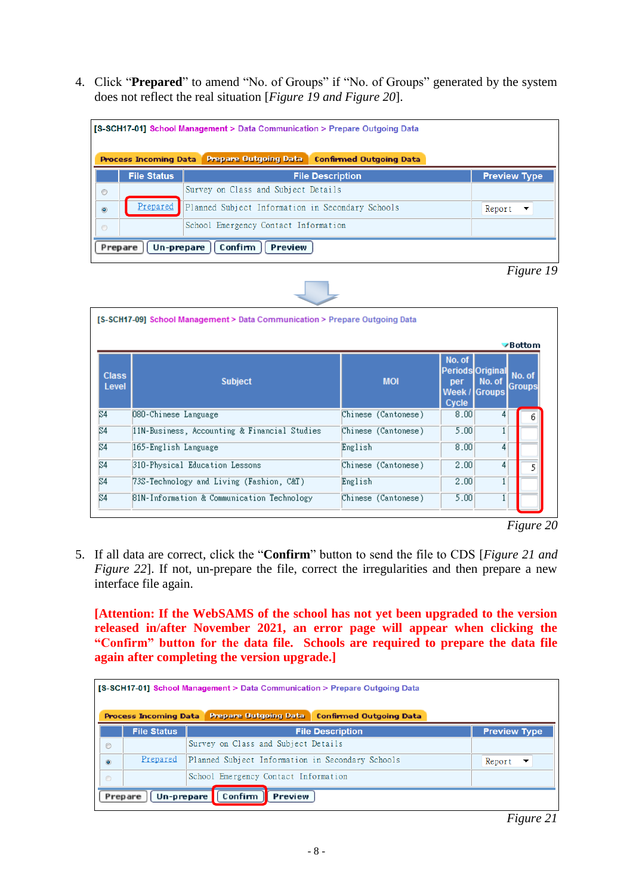4. Click "**Prepared**" to amend "No. of Groups" if "No. of Groups" generated by the system does not reflect the real situation [*Figure 19 and Figure 20*].





|                       | [S-SCH17-09] School Management > Data Communication > Prepare Outgoing Data |                     |                                                      |                  | $\vee$ Bottom           |
|-----------------------|-----------------------------------------------------------------------------|---------------------|------------------------------------------------------|------------------|-------------------------|
| <b>Class</b><br>Level | <b>Subject</b>                                                              | <b>MOI</b>          | No. of<br>Periods Original<br>per<br>Week /<br>Cycle | No. of<br>Groups | No. of<br><b>Groups</b> |
| S4                    | 080-Chinese Language                                                        | Chinese (Cantonese) | 8.00                                                 | 4                |                         |
| S4                    | 11N-Business, Accounting & Financial Studies                                | Chinese (Cantonese) | 5.00                                                 | 1                |                         |
| S4                    | 165-English Language                                                        | English             | 8.00                                                 | 4                |                         |
| S4                    | 310-Physical Education Lessons                                              | Chinese (Cantonese) | 2.00                                                 | 4                | 5                       |
| S4                    | 73S–Technology and Living (Fashion, C&T)                                    | English             | 2.00                                                 | 1                |                         |
| S4                    | B1N-Information & Communication Technology                                  | Chinese (Cantonese) | 5.00                                                 | $\mathbf{1}$     |                         |

5. If all data are correct, click the "**Confirm**" button to send the file to CDS [*Figure 21 and Figure 22*]. If not, un-prepare the file, correct the irregularities and then prepare a new interface file again.

**[Attention: If the WebSAMS of the school has not yet been upgraded to the version released in/after November 2021, an error page will appear when clicking the "Confirm" button for the data file. Schools are required to prepare the data file again after completing the version upgrade.]**

|         | <b>Process Incoming Data</b> | <b>Prepare Outgoing Data</b><br><b>Confirmed Outgoing Data</b> |                     |
|---------|------------------------------|----------------------------------------------------------------|---------------------|
|         | <b>File Status</b>           | <b>File Description</b>                                        | <b>Preview Type</b> |
| $\odot$ |                              | Survey on Class and Subject Details                            |                     |
| $\odot$ | Prepared                     | Planned Subject Information in Secondary Schools               | Report<br>▼         |
| $\circ$ |                              | School Emergency Contact Information                           |                     |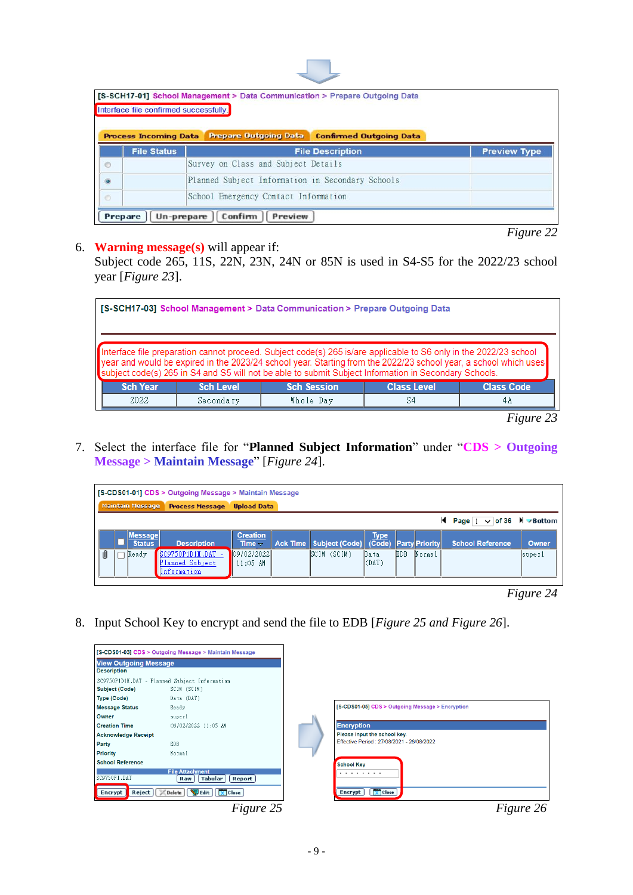|           | Interface file confirmed successfully. | [S-SCH17-01] School Management > Data Communication > Prepare Outgoing Data |                     |
|-----------|----------------------------------------|-----------------------------------------------------------------------------|---------------------|
|           | <b>Process Incoming Data</b>           | <b>Prepare Outgoing Data</b><br><b>Confirmed Outgoing Data</b>              |                     |
|           | <b>File Status</b>                     | <b>File Description</b>                                                     | <b>Preview Type</b> |
|           |                                        | Survey on Class and Subject Details                                         |                     |
| $\circ$   |                                        |                                                                             |                     |
| $\bullet$ |                                        | Planned Subject Information in Secondary Schools                            |                     |

*Figure 22*

## 6. **Warning message(s)** will appear if:

Subject code 265, 11S, 22N, 23N, 24N or 85N is used in S4-S5 for the 2022/23 school year [*Figure 23*].

| [S-SCH17-03] School Management > Data Communication > Prepare Outgoing Data                                                                                                                                                                                                                                                                    |                  |                    |                    |                   |  |  |  |  |
|------------------------------------------------------------------------------------------------------------------------------------------------------------------------------------------------------------------------------------------------------------------------------------------------------------------------------------------------|------------------|--------------------|--------------------|-------------------|--|--|--|--|
| Interface file preparation cannot proceed. Subject code(s) 265 is/are applicable to S6 only in the 2022/23 school<br>year and would be expired in the 2023/24 school year. Starting from the 2022/23 school year, a school which uses<br>subject code(s) 265 in S4 and S5 will not be able to submit Subject Information in Secondary Schools. |                  |                    |                    |                   |  |  |  |  |
| <b>Sch Year</b>                                                                                                                                                                                                                                                                                                                                | <b>Sch Level</b> | <b>Sch Session</b> | <b>Class Level</b> | <b>Class Code</b> |  |  |  |  |
| 2022                                                                                                                                                                                                                                                                                                                                           | Secondary        | Whole Day          | S4                 | 4A                |  |  |  |  |

*Figure 23*

7. Select the interface file for "**Planned Subject Information**" under "**CDS > Outgoing Message > Maintain Message**" [*Figure 24*].

|   |  |                                 | [S-CDS01-01] CDS > Outgoing Message > Maintain Message       |                                |                                    |                           |      |                       |                                       |        |
|---|--|---------------------------------|--------------------------------------------------------------|--------------------------------|------------------------------------|---------------------------|------|-----------------------|---------------------------------------|--------|
|   |  | <b>Maintain Message</b>         | <b>Process Message</b>                                       | <b>Upload Data</b>             |                                    |                           |      |                       |                                       |        |
|   |  |                                 |                                                              |                                |                                    |                           |      |                       | <b>K</b> Page $1 \vee$ of 36 N Bottom |        |
|   |  | <b>Message</b><br><b>Status</b> | <b>Description</b>                                           | <b>Creation</b><br>Time $\sim$ | Ack Time   Subject (Code)   (Code) | <b>Type</b>               |      | <b>Party Priority</b> | <b>School Reference</b>               | Owner  |
| Ú |  | Ready                           | $S$ C9750P1D1H.DAT -<br>lanned Subject<br><b>Information</b> | 09/02/2022<br>11:05 AM         | SCIM (SCIM)                        | Data<br>$\parallel$ (DAT) | EDB. | Normal                |                                       | superl |
|   |  |                                 |                                                              |                                |                                    |                           |      |                       |                                       |        |

*Figure 24*

8. Input School Key to encrypt and send the file to EDB [*Figure 25 and Figure 26*].

|                                                    | [S-CDS01-03] CDS > Outgoing Message > Maintain Message    |
|----------------------------------------------------|-----------------------------------------------------------|
| <b>View Outgoing Message</b><br><b>Description</b> |                                                           |
|                                                    | SC9750P1D1H.DAT - Planned Subject Information             |
| Subject (Code)                                     | SCIM (SCIM)                                               |
| Type (Code)                                        | Data (DAT)                                                |
| <b>Message Status</b>                              | Ready                                                     |
| Owner                                              | superl                                                    |
| <b>Creation Time</b>                               | 09/02/2022 11:05 AM                                       |
| <b>Acknowledge Receipt</b>                         |                                                           |
| Party                                              | EDB.                                                      |
| <b>Priority</b>                                    | Normal                                                    |
| <b>School Reference</b>                            |                                                           |
| SC9750F1.DAT                                       | <b>File Attachment</b><br>Tabular<br><b>Report</b><br>Raw |
| Reject<br>Encrypt                                  | Delete   Edit  <br>$\chi$ Close                           |
|                                                    | Figure 25                                                 |